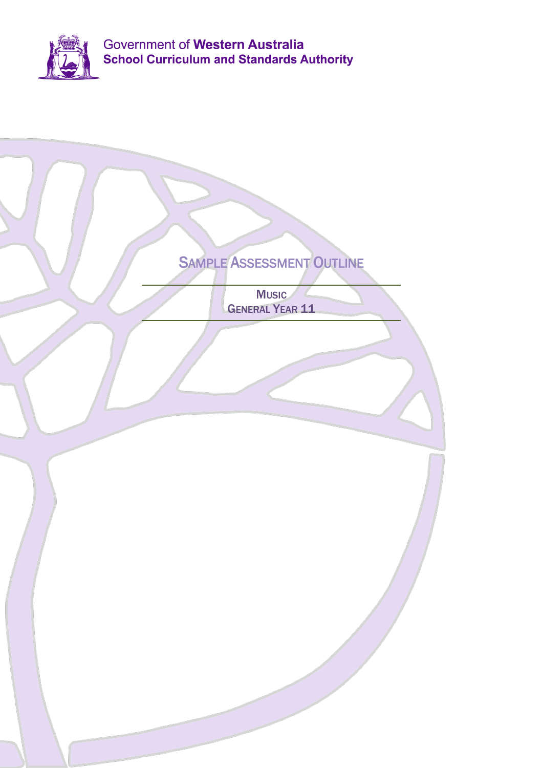

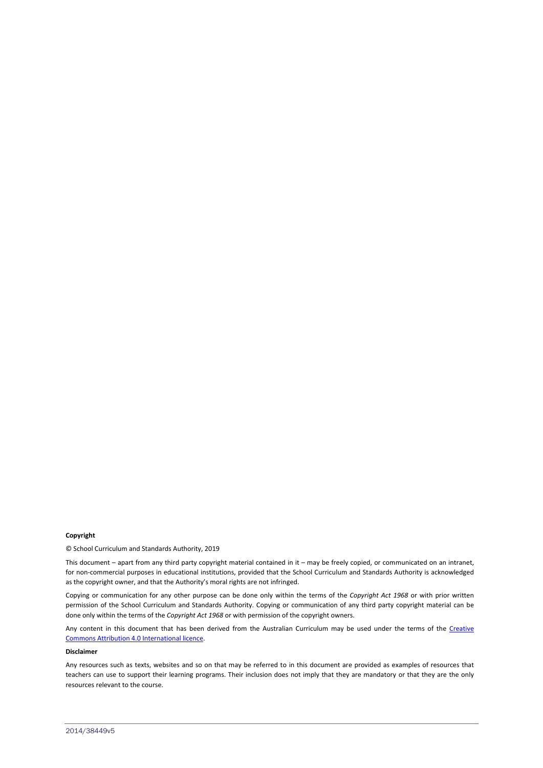#### **Copyright**

© School Curriculum and Standards Authority, 2019

This document – apart from any third party copyright material contained in it – may be freely copied, or communicated on an intranet, for non-commercial purposes in educational institutions, provided that the School Curriculum and Standards Authority is acknowledged as the copyright owner, and that the Authority's moral rights are not infringed.

Copying or communication for any other purpose can be done only within the terms of the *Copyright Act 1968* or with prior written permission of the School Curriculum and Standards Authority. Copying or communication of any third party copyright material can be done only within the terms of the *Copyright Act 1968* or with permission of the copyright owners.

Any content in this document that has been derived from the Australian Curriculum may be used under the terms of the Creative [Commons Attribution 4.0 International licence.](http://creativecommons.org/licenses/by/4.0/)

#### **Disclaimer**

Any resources such as texts, websites and so on that may be referred to in this document are provided as examples of resources that teachers can use to support their learning programs. Their inclusion does not imply that they are mandatory or that they are the only resources relevant to the course.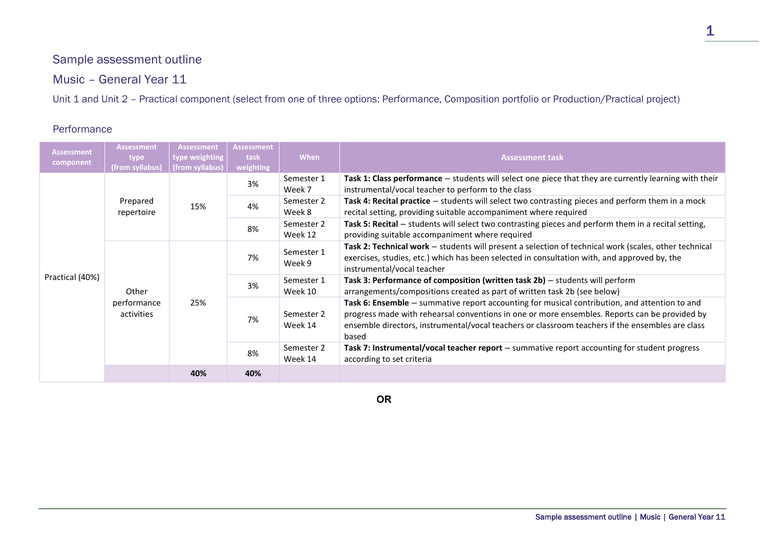# Sample assessment outline

Music – General Year 11

Unit 1 and Unit 2 – Practical component (select from one of three options: Performance, Composition portfolio or Production/Practical project)

#### Performance

| <b>Assessment</b><br>component | <b>Assessment</b><br><b>type</b><br>(from syllabus) | <b>Assessment</b><br>type weighting<br>(from syllabus) | <b>Assessment</b><br>task<br>weighting | <b>When</b>           | <b>Assessment task</b>                                                                                                                                                                                                                                                                                      |
|--------------------------------|-----------------------------------------------------|--------------------------------------------------------|----------------------------------------|-----------------------|-------------------------------------------------------------------------------------------------------------------------------------------------------------------------------------------------------------------------------------------------------------------------------------------------------------|
| Practical (40%)                | Prepared<br>repertoire                              | 15%                                                    | 3%                                     | Semester 1<br>Week 7  | Task 1: Class performance - students will select one piece that they are currently learning with their<br>instrumental/vocal teacher to perform to the class                                                                                                                                                |
|                                |                                                     |                                                        | 4%                                     | Semester 2<br>Week 8  | Task 4: Recital practice - students will select two contrasting pieces and perform them in a mock<br>recital setting, providing suitable accompaniment where required                                                                                                                                       |
|                                |                                                     |                                                        | 8%                                     | Semester 2<br>Week 12 | Task 5: Recital - students will select two contrasting pieces and perform them in a recital setting,<br>providing suitable accompaniment where required                                                                                                                                                     |
|                                | Other<br>performance<br>activities                  | 25%                                                    | 7%                                     | Semester 1<br>Week 9  | Task 2: Technical work - students will present a selection of technical work (scales, other technical<br>exercises, studies, etc.) which has been selected in consultation with, and approved by, the<br>instrumental/vocal teacher                                                                         |
|                                |                                                     |                                                        | 3%                                     | Semester 1<br>Week 10 | Task 3: Performance of composition (written task 2b) - students will perform<br>arrangements/compositions created as part of written task 2b (see below)                                                                                                                                                    |
|                                |                                                     |                                                        | 7%                                     | Semester 2<br>Week 14 | Task 6: Ensemble - summative report accounting for musical contribution, and attention to and<br>progress made with rehearsal conventions in one or more ensembles. Reports can be provided by<br>ensemble directors, instrumental/vocal teachers or classroom teachers if the ensembles are class<br>based |
|                                |                                                     |                                                        | 8%                                     | Semester 2<br>Week 14 | Task 7: Instrumental/vocal teacher report - summative report accounting for student progress<br>according to set criteria                                                                                                                                                                                   |
|                                |                                                     | 40%                                                    | 40%                                    |                       |                                                                                                                                                                                                                                                                                                             |

**OR**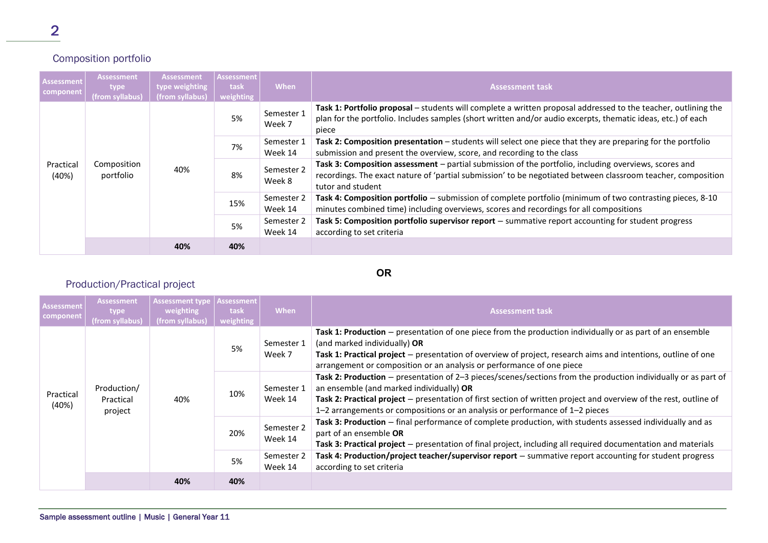## Composition portfolio

| <b>Assessment</b><br>component | <b>Assessment</b><br>type<br>(from syllabus) | <b>Assessment</b><br>type weighting<br>(from syllabus) | <b>Assessment</b><br>task<br>weighting | <b>When</b>           | <b>Assessment task</b>                                                                                                                                                                                                                     |
|--------------------------------|----------------------------------------------|--------------------------------------------------------|----------------------------------------|-----------------------|--------------------------------------------------------------------------------------------------------------------------------------------------------------------------------------------------------------------------------------------|
| Practical<br>(40%)             | Composition<br>portfolio                     | 40%                                                    | 5%                                     | Semester 1<br>Week 7  | Task 1: Portfolio proposal – students will complete a written proposal addressed to the teacher, outlining the<br>plan for the portfolio. Includes samples (short written and/or audio excerpts, thematic ideas, etc.) of each<br>piece    |
|                                |                                              |                                                        | 7%                                     | Semester 1<br>Week 14 | Task 2: Composition presentation - students will select one piece that they are preparing for the portfolio<br>submission and present the overview, score, and recording to the class                                                      |
|                                |                                              |                                                        | 8%                                     | Semester 2<br>Week 8  | Task 3: Composition assessment - partial submission of the portfolio, including overviews, scores and<br>recordings. The exact nature of 'partial submission' to be negotiated between classroom teacher, composition<br>tutor and student |
|                                |                                              |                                                        | 15%                                    | Semester 2<br>Week 14 | Task 4: Composition portfolio - submission of complete portfolio (minimum of two contrasting pieces, 8-10<br>minutes combined time) including overviews, scores and recordings for all compositions                                        |
|                                |                                              |                                                        | 5%                                     | Semester 2<br>Week 14 | Task 5: Composition portfolio supervisor report - summative report accounting for student progress<br>according to set criteria                                                                                                            |
|                                |                                              | 40%                                                    | 40%                                    |                       |                                                                                                                                                                                                                                            |

### **OR**

## Production/Practical project

| Assessment<br>component | <b>Assessment</b><br>type<br>(from syllabus) | <b>Assessment type</b><br>weighting<br>(from syllabus) | Assessment<br>task<br>weighting | When                  | <b>Assessment task</b>                                                                                                                                                                                                                                                                                                                                            |
|-------------------------|----------------------------------------------|--------------------------------------------------------|---------------------------------|-----------------------|-------------------------------------------------------------------------------------------------------------------------------------------------------------------------------------------------------------------------------------------------------------------------------------------------------------------------------------------------------------------|
| Practical<br>(40%)      | Production/<br>Practical<br>project          | 40%                                                    | 5%                              | Semester 1<br>Week 7  | Task 1: Production – presentation of one piece from the production individually or as part of an ensemble<br>(and marked individually) OR<br>Task 1: Practical project – presentation of overview of project, research aims and intentions, outline of one<br>arrangement or composition or an analysis or performance of one piece                               |
|                         |                                              |                                                        | 10%                             | Semester 1<br>Week 14 | Task 2: Production – presentation of 2–3 pieces/scenes/sections from the production individually or as part of<br>an ensemble (and marked individually) OR<br>Task 2: Practical project – presentation of first section of written project and overview of the rest, outline of<br>1-2 arrangements or compositions or an analysis or performance of $1-2$ pieces |
|                         |                                              |                                                        | 20%                             | Semester 2<br>Week 14 | Task 3: Production - final performance of complete production, with students assessed individually and as<br>part of an ensemble OR<br>Task 3: Practical project – presentation of final project, including all required documentation and materials                                                                                                              |
|                         |                                              |                                                        | 5%                              | Semester 2<br>Week 14 | Task 4: Production/project teacher/supervisor report - summative report accounting for student progress<br>according to set criteria                                                                                                                                                                                                                              |
|                         |                                              | 40%                                                    | 40%                             |                       |                                                                                                                                                                                                                                                                                                                                                                   |